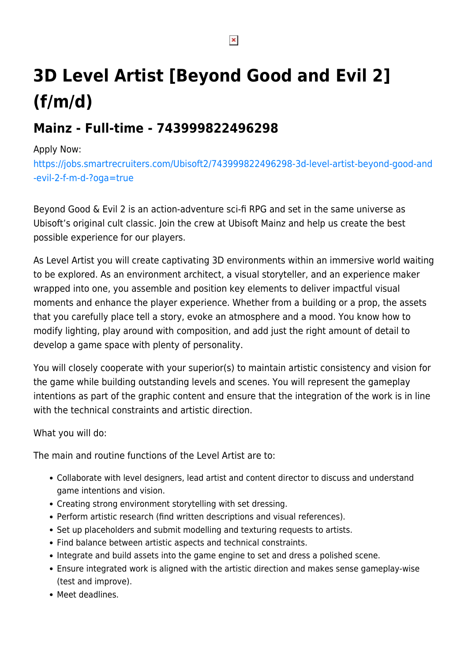## **3D Level Artist [Beyond Good and Evil 2] (f/m/d)**

## **Mainz - Full-time - 743999822496298**

## Apply Now:

[https://jobs.smartrecruiters.com/Ubisoft2/743999822496298-3d-level-artist-beyond-good-and](https://jobs.smartrecruiters.com/Ubisoft2/743999822496298-3d-level-artist-beyond-good-and-evil-2-f-m-d-?oga=true) [-evil-2-f-m-d-?oga=true](https://jobs.smartrecruiters.com/Ubisoft2/743999822496298-3d-level-artist-beyond-good-and-evil-2-f-m-d-?oga=true)

Beyond Good & Evil 2 is an action-adventure sci-fi RPG and set in the same universe as Ubisoft's original cult classic. Join the crew at Ubisoft Mainz and help us create the best possible experience for our players.

As Level Artist you will create captivating 3D environments within an immersive world waiting to be explored. As an environment architect, a visual storyteller, and an experience maker wrapped into one, you assemble and position key elements to deliver impactful visual moments and enhance the player experience. Whether from a building or a prop, the assets that you carefully place tell a story, evoke an atmosphere and a mood. You know how to modify lighting, play around with composition, and add just the right amount of detail to develop a game space with plenty of personality.

You will closely cooperate with your superior(s) to maintain artistic consistency and vision for the game while building outstanding levels and scenes. You will represent the gameplay intentions as part of the graphic content and ensure that the integration of the work is in line with the technical constraints and artistic direction.

What you will do:

The main and routine functions of the Level Artist are to:

- Collaborate with level designers, lead artist and content director to discuss and understand game intentions and vision.
- Creating strong environment storytelling with set dressing.
- Perform artistic research (find written descriptions and visual references).
- Set up placeholders and submit modelling and texturing requests to artists.
- Find balance between artistic aspects and technical constraints.
- Integrate and build assets into the game engine to set and dress a polished scene.
- Ensure integrated work is aligned with the artistic direction and makes sense gameplay-wise (test and improve).
- Meet deadlines.

 $\pmb{\times}$